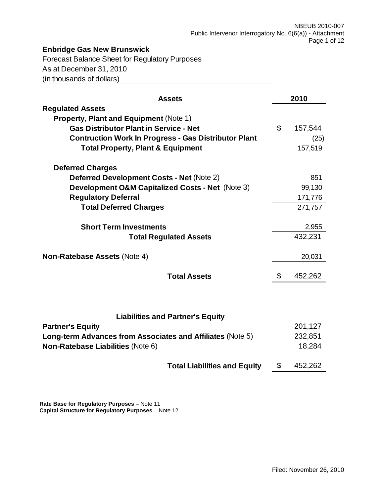# **Enbridge Gas New Brunswick**

Forecast Balance Sheet for Regulatory Purposes As at December 31, 2010 (in thousands of dollars)

| <b>Assets</b>                                                            | 2010          |
|--------------------------------------------------------------------------|---------------|
| <b>Regulated Assets</b><br><b>Property, Plant and Equipment (Note 1)</b> |               |
| <b>Gas Distributor Plant in Service - Net</b>                            | \$<br>157,544 |
| <b>Contruction Work In Progress - Gas Distributor Plant</b>              | (25)          |
| <b>Total Property, Plant &amp; Equipment</b>                             | 157,519       |
| <b>Deferred Charges</b>                                                  |               |
| <b>Deferred Development Costs - Net (Note 2)</b>                         | 851           |
| <b>Development O&amp;M Capitalized Costs - Net (Note 3)</b>              | 99,130        |
| <b>Regulatory Deferral</b>                                               | 171,776       |
| <b>Total Deferred Charges</b>                                            | 271,757       |
| <b>Short Term Investments</b>                                            | 2,955         |
| <b>Total Regulated Assets</b>                                            | 432,231       |
| <b>Non-Ratebase Assets (Note 4)</b>                                      | 20,031        |
| <b>Total Assets</b>                                                      | \$<br>452,262 |
|                                                                          |               |
| <b>Liabilities and Partner's Equity</b>                                  |               |
| <b>Partner's Equity</b>                                                  | 201,127       |
| Long-term Advances from Associates and Affiliates (Note 5)               | 232,851       |
| Non-Ratebase Liabilities (Note 6)                                        | 18,284        |
| <b>Total Liabilities and Equity</b>                                      | \$<br>452,262 |

**Rate Base for Regulatory Purposes –** Note 11 **Capital Structure for Regulatory Purposes** – Note 12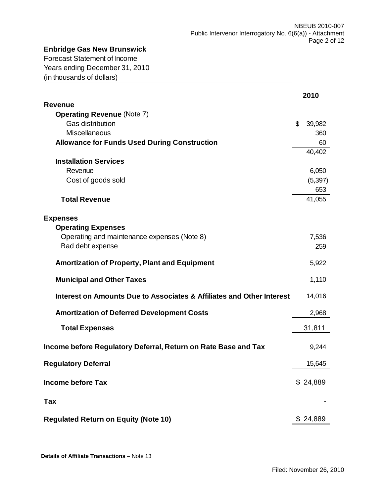# **Enbridge Gas New Brunswick**

Forecast Statement of Income Years ending December 31, 2010 (in thousands of dollars)

|                                                                       | 2010         |
|-----------------------------------------------------------------------|--------------|
| <b>Revenue</b>                                                        |              |
| <b>Operating Revenue (Note 7)</b>                                     |              |
| Gas distribution                                                      | \$<br>39,982 |
| <b>Miscellaneous</b>                                                  | 360          |
| <b>Allowance for Funds Used During Construction</b>                   | 60           |
|                                                                       | 40,402       |
| <b>Installation Services</b>                                          |              |
| Revenue                                                               | 6,050        |
| Cost of goods sold                                                    | (5, 397)     |
|                                                                       | 653          |
| <b>Total Revenue</b>                                                  | 41,055       |
|                                                                       |              |
| <b>Expenses</b>                                                       |              |
| <b>Operating Expenses</b>                                             |              |
| Operating and maintenance expenses (Note 8)                           | 7,536        |
| Bad debt expense                                                      | 259          |
| <b>Amortization of Property, Plant and Equipment</b>                  | 5,922        |
| <b>Municipal and Other Taxes</b>                                      | 1,110        |
| Interest on Amounts Due to Associates & Affiliates and Other Interest | 14,016       |
| <b>Amortization of Deferred Development Costs</b>                     | 2,968        |
|                                                                       |              |
| <b>Total Expenses</b>                                                 | 31,811       |
| Income before Regulatory Deferral, Return on Rate Base and Tax        | 9,244        |
|                                                                       |              |
| <b>Regulatory Deferral</b>                                            | 15,645       |
| <b>Income before Tax</b>                                              | \$24,889     |
|                                                                       |              |
| Tax                                                                   |              |
|                                                                       |              |
| <b>Regulated Return on Equity (Note 10)</b>                           | \$24,889     |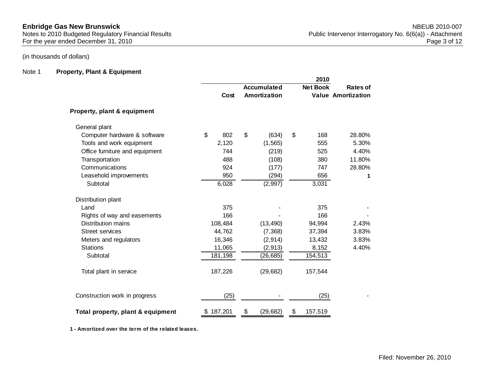## (in thousands of dollars)

#### Note 1 **Property, Plant & Equipment**

|                                   |           | <b>Accumulated</b> | <b>Net Book</b> | Rates of                  |
|-----------------------------------|-----------|--------------------|-----------------|---------------------------|
|                                   | Cost      | Amortization       |                 | <b>Value Amortization</b> |
| Property, plant & equipment       |           |                    |                 |                           |
| General plant                     |           |                    |                 |                           |
| Computer hardware & software      | \$<br>802 | \$<br>(634)        | \$<br>168       | 28.80%                    |
| Tools and work equipment          | 2,120     | (1, 565)           | 555             | 5.30%                     |
| Office furniture and equipment    | 744       | (219)              | 525             | 4.40%                     |
| Transportation                    | 488       | (108)              | 380             | 11.80%                    |
| Communications                    | 924       | (177)              | 747             | 28.80%                    |
| Leasehold improvements            | 950       | (294)              | 656             | 1                         |
| Subtotal                          | 6,028     | (2,997)            | 3,031           |                           |
| Distribution plant                |           |                    |                 |                           |
| Land                              | 375       |                    | 375             |                           |
| Rights of way and easements       | 166       |                    | 166             |                           |
| <b>Distribution mains</b>         | 108,484   | (13, 490)          | 94,994          | 2.43%                     |
| <b>Street services</b>            | 44,762    | (7, 368)           | 37,394          | 3.83%                     |
| Meters and regulators             | 16,346    | (2, 914)           | 13,432          | 3.83%                     |
| <b>Stations</b>                   | 11,065    | (2, 913)           | 8,152           | 4.40%                     |
| Subtotal                          | 181,198   | (26, 685)          | 154,513         |                           |
| Total plant in service            | 187,226   | (29, 682)          | 157,544         |                           |
| Construction work in progress     | (25)      |                    | (25)            |                           |
| Total property, plant & equipment | \$187,201 | \$<br>(29, 682)    | \$<br>157,519   |                           |

**1 - Amortized over the term of the related leases.**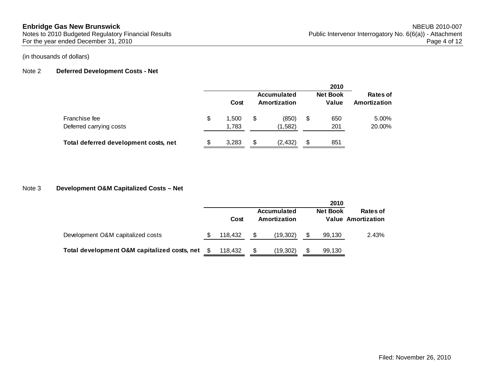## (in thousands of dollars)

### Note 2 **Deferred Development Costs - Net**

|                                          |    |                |   |                             | 2010                     |                          |
|------------------------------------------|----|----------------|---|-----------------------------|--------------------------|--------------------------|
|                                          |    | Cost           |   | Accumulated<br>Amortization | <b>Net Book</b><br>Value | Rates of<br>Amortization |
| Franchise fee<br>Deferred carrying costs | \$ | 1.500<br>1,783 | S | (850)<br>(1,582)            | \$<br>650<br>201         | 5.00%<br>20.00%          |
| Total deferred development costs, net    | S  | 3,283          | S | (2,432)                     | \$<br>851                |                          |

#### Note 3 **Development O&M Capitalized Costs – Net**

|                                              |    |         |   |                             | 2010            |                                              |
|----------------------------------------------|----|---------|---|-----------------------------|-----------------|----------------------------------------------|
|                                              |    | Cost    |   | Accumulated<br>Amortization | <b>Net Book</b> | <b>Rates of</b><br><b>Value Amortization</b> |
| Development O&M capitalized costs            | S. | 118.432 | S | (19,302)                    | 99,130          | 2.43%                                        |
| Total development O&M capitalized costs, net |    | 118.432 |   | (19,302)                    | 99,130          |                                              |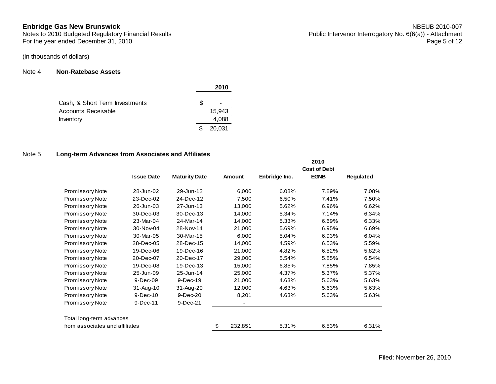#### Note 4 **Non-Ratebase Assets**

|                                |    | 2010   |
|--------------------------------|----|--------|
| Cash, & Short Term Investments | S. |        |
| Accounts Receivable            |    | 15.943 |
| Inventory                      |    | 4,088  |
|                                |    | 20,031 |

#### Note 5 **Long-term Advances from Associates and Affiliates**

|                                |                   |                      |                          |               | 2010                |           |
|--------------------------------|-------------------|----------------------|--------------------------|---------------|---------------------|-----------|
|                                |                   |                      |                          |               | <b>Cost of Debt</b> |           |
|                                | <b>Issue Date</b> | <b>Maturity Date</b> | Amount                   | Enbridge Inc. | <b>EGNB</b>         | Regulated |
| <b>Promissory Note</b>         | 28-Jun-02         | 29-Jun-12            | 6,000                    | 6.08%         | 7.89%               | 7.08%     |
| <b>Promissory Note</b>         | 23-Dec-02         | 24-Dec-12            | 7,500                    | 6.50%         | 7.41%               | 7.50%     |
| <b>Promissory Note</b>         | 26-Jun-03         | 27-Jun-13            | 13,000                   | 5.62%         | 6.96%               | 6.62%     |
| <b>Promissory Note</b>         | 30-Dec-03         | 30-Dec-13            | 14,000                   | 5.34%         | 7.14%               | 6.34%     |
| <b>Promissory Note</b>         | 23-Mar-04         | 24-Mar-14            | 14,000                   | 5.33%         | 6.69%               | 6.33%     |
| <b>Promissory Note</b>         | 30-Nov-04         | 28-Nov-14            | 21,000                   | 5.69%         | 6.95%               | 6.69%     |
| <b>Promissory Note</b>         | 30-Mar-05         | 30-Mar-15            | 6,000                    | 5.04%         | 6.93%               | 6.04%     |
| <b>Promissory Note</b>         | 28-Dec-05         | 28-Dec-15            | 14,000                   | 4.59%         | 6.53%               | 5.59%     |
| <b>Promissory Note</b>         | 19-Dec-06         | 19-Dec-16            | 21,000                   | 4.82%         | 6.52%               | 5.82%     |
| <b>Promissory Note</b>         | 20-Dec-07         | 20-Dec-17            | 29,000                   | 5.54%         | 5.85%               | 6.54%     |
| <b>Promissory Note</b>         | 19-Dec-08         | 19-Dec-13            | 15,000                   | 6.85%         | 7.85%               | 7.85%     |
| <b>Promissory Note</b>         | 25-Jun-09         | 25-Jun-14            | 25,000                   | 4.37%         | 5.37%               | 5.37%     |
| <b>Promissory Note</b>         | 9-Dec-09          | 9-Dec-19             | 21,000                   | 4.63%         | 5.63%               | 5.63%     |
| <b>Promissory Note</b>         | 31-Aug-10         | 31-Aug-20            | 12,000                   | 4.63%         | 5.63%               | 5.63%     |
| <b>Promissory Note</b>         | 9-Dec-10          | 9-Dec-20             | 8,201                    | 4.63%         | 5.63%               | 5.63%     |
| <b>Promissory Note</b>         | 9-Dec-11          | 9-Dec-21             | $\overline{\phantom{a}}$ |               |                     |           |
| Total long-term advances       |                   |                      |                          |               |                     |           |
| from associates and affiliates |                   |                      | 232,851<br>\$            | 5.31%         | 6.53%               | 6.31%     |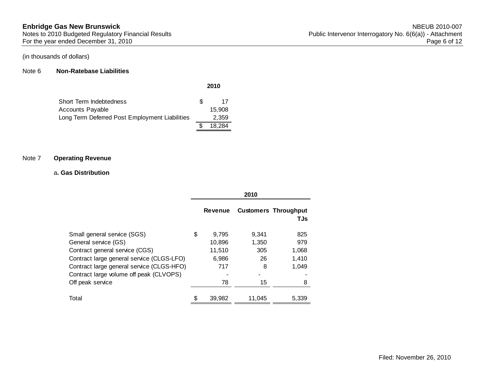#### Note 6 **Non-Ratebase Liabilities**

| Short Term Indebtedness                        | Æ. | 17     |
|------------------------------------------------|----|--------|
| Accounts Payable                               |    | 15.908 |
| Long Term Deferred Post Employment Liabilities |    | 2,359  |
|                                                |    | 18.284 |

#### Note 7 **Operating Revenue**

#### a**. Gas Distribution**

|                                                                                        |                       | 2010           |                                    |
|----------------------------------------------------------------------------------------|-----------------------|----------------|------------------------------------|
|                                                                                        | <b>Revenue</b>        |                | <b>Customers Throughput</b><br>TJs |
| Small general service (SGS)<br>General service (GS)                                    | \$<br>9,795<br>10,896 | 9.341<br>1,350 | 825<br>979                         |
| Contract general service (CGS)                                                         | 11,510                | 305            | 1,068                              |
| Contract large general service (CLGS-LFO)<br>Contract large general service (CLGS-HFO) | 6,986<br>717          | 26<br>8        | 1,410<br>1.049                     |
| Contract large volume off peak (CLVOPS)<br>Off peak service                            | 78                    | 15             | 8                                  |
| Total                                                                                  | \$<br>39,982          | 11.045         | 5,339                              |

**2010**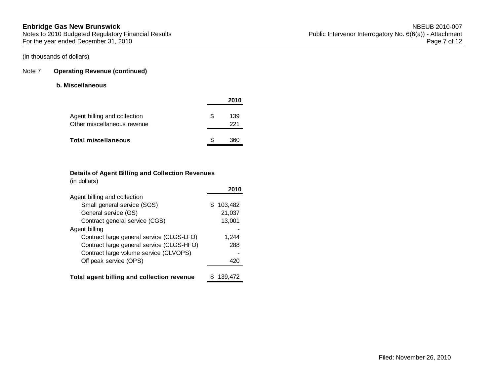## Note 7 **Operating Revenue (continued)**

## **b. Miscellaneous**

|                                                             |     | 2010       |
|-------------------------------------------------------------|-----|------------|
| Agent billing and collection<br>Other miscellaneous revenue | \$. | 139<br>221 |
| Total miscellaneous                                         | ß.  | 360        |

## **Details of Agent Billing and Collection Revenues**

(in dollars)

| Agent billing and collection               |              |
|--------------------------------------------|--------------|
| Small general service (SGS)                | 103,482<br>S |
| General service (GS)                       | 21,037       |
| Contract general service (CGS)             | 13,001       |
| Agent billing                              |              |
| Contract large general service (CLGS-LFO)  | 1.244        |
| Contract large general service (CLGS-HFO)  | 288          |
| Contract large volume service (CLVOPS)     |              |
| Off peak service (OPS)                     | 420          |
|                                            |              |
| Total agent billing and collection revenue | 139,472      |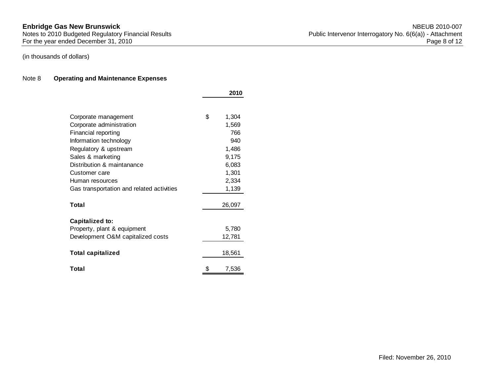## (in thousands of dollars)

### Note 8 **Operating and Maintenance Expenses**

|                                           | 2010        |
|-------------------------------------------|-------------|
|                                           |             |
| Corporate management                      | \$<br>1,304 |
| Corporate administration                  | 1,569       |
| Financial reporting                       | 766         |
| Information technology                    | 940         |
| Regulatory & upstream                     | 1,486       |
| Sales & marketing                         | 9,175       |
| Distribution & maintanance                | 6,083       |
| Customer care                             | 1,301       |
| Human resources                           | 2,334       |
| Gas transportation and related activities | 1,139       |
|                                           |             |
| Total                                     | 26,097      |
| Capitalized to:                           |             |
| Property, plant & equipment               | 5,780       |
| Development O&M capitalized costs         | 12,781      |
|                                           |             |
| <b>Total capitalized</b>                  | 18,561      |
| Total                                     | \$<br>7,536 |
|                                           |             |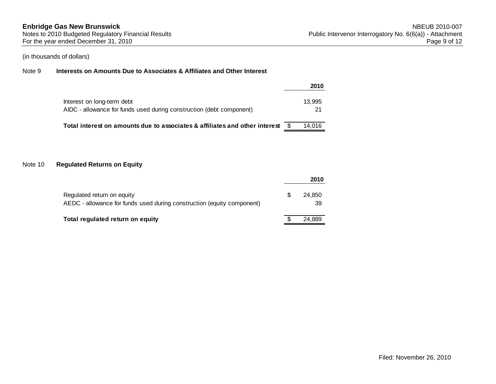(in thousands of dollars)

### Note 9 **Interests on Amounts Due to Associates & Affiliates and Other Interest**

|                                                                                                    | 2010         |
|----------------------------------------------------------------------------------------------------|--------------|
| Interest on long-term debt<br>AIDC - allowance for funds used during construction (debt component) | 13.995<br>21 |
| Total interest on amounts due to associates & affiliates and other interest                        | 14.016       |

#### Note 10 **Regulated Returns on Equity**

|                                                                                                      |   | 2010         |
|------------------------------------------------------------------------------------------------------|---|--------------|
| Regulated return on equity<br>AEDC - allowance for funds used during construction (equity component) | S | 24.850<br>39 |
| Total regulated return on equity                                                                     |   | 24.889       |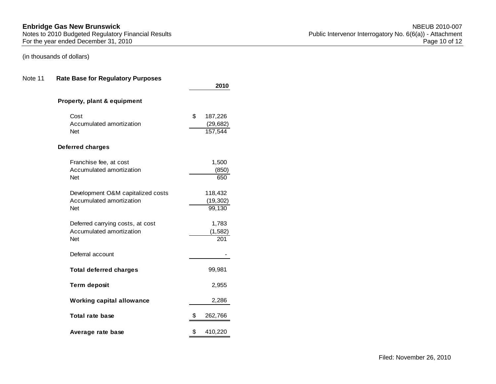# (in thousands of dollars)

## Note 11 **Rate Base for Regulatory Purposes**

|                                                                             | 2010                                  |
|-----------------------------------------------------------------------------|---------------------------------------|
| Property, plant & equipment                                                 |                                       |
| Cost<br>Accumulated amortization<br><b>Net</b>                              | \$<br>187,226<br>(29, 682)<br>157,544 |
| <b>Deferred charges</b>                                                     |                                       |
| Franchise fee, at cost<br>Accumulated amortization<br><b>Net</b>            | 1,500<br>(850)<br>650                 |
| Development O&M capitalized costs<br>Accumulated amortization<br><b>Net</b> | 118,432<br>(19, 302)<br>99,130        |
| Deferred carrying costs, at cost<br>Accumulated amortization<br><b>Net</b>  | 1,783<br>(1, 582)<br>201              |
| Deferral account                                                            |                                       |
| <b>Total deferred charges</b>                                               | 99,981                                |
| <b>Term deposit</b>                                                         | 2,955                                 |
| <b>Working capital allowance</b>                                            | 2,286                                 |
| <b>Total rate base</b>                                                      | \$<br>262,766                         |
| Average rate base                                                           | \$<br>410,220                         |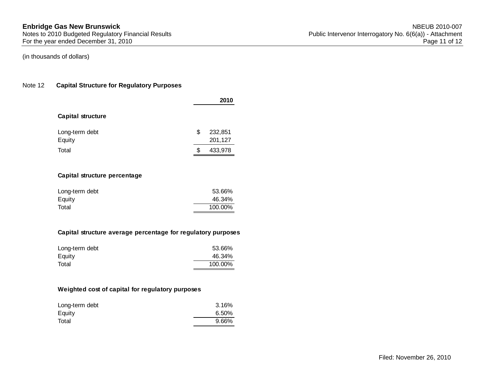(in thousands of dollars)

#### Note 12 **Capital Structure for Regulatory Purposes**

|                          |    | 2010               |
|--------------------------|----|--------------------|
| <b>Capital structure</b> |    |                    |
| Long-term debt<br>Equity | \$ | 232,851<br>201,127 |
| Total                    | S  | 433,978            |

#### **Capital structure percentage**

| Long-term debt | 53.66%  |
|----------------|---------|
| Equity         | 46.34%  |
| Total          | 100.00% |

#### **Capital structure average percentage for regulatory purposes**

| Long-term debt | 53.66%  |
|----------------|---------|
| Equity         | 46.34%  |
| Total          | 100.00% |

#### **Weighted cost of capital for regulatory purposes**

| Long-term debt | 3.16% |
|----------------|-------|
| Equity         | 6.50% |
| Total          | 9.66% |